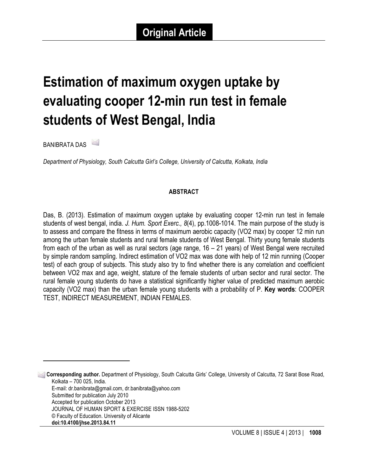# **Estimation of maximum oxygen uptake by evaluating cooper 12-min run test in female students of West Bengal, India**

BANIBRATA DAS <sup>1</sup>

<u> 1989 - Johann Stein, fransk politiker (d. 1989)</u>

*Department of Physiology, South Calcutta Girl's College, University of Calcutta, Kolkata, India*

#### **ABSTRACT**

Das, B. (2013). Estimation of maximum oxygen uptake by evaluating cooper 12-min run test in female students of west bengal, india. *J. Hum. Sport Exerc., 8*(4), pp.1008-1014. The main purpose of the study is to assess and compare the fitness in terms of maximum aerobic capacity (VO2 max) by cooper 12 min run among the urban female students and rural female students of West Bengal. Thirty young female students from each of the urban as well as rural sectors (age range, 16 – 21 years) of West Bengal were recruited by simple random sampling. Indirect estimation of VO2 max was done with help of 12 min running (Cooper test) of each group of subjects. This study also try to find whether there is any correlation and coefficient between VO2 max and age, weight, stature of the female students of urban sector and rural sector. The rural female young students do have a statistical significantly higher value of predicted maximum aerobic capacity (VO2 max) than the urban female young students with a probability of P. **Key words**: COOPER TEST, INDIRECT MEASUREMENT, INDIAN FEMALES.

<sup>1</sup> **Corresponding author.** Department of Physiology, South Calcutta Girls' College, University of Calcutta, 72 Sarat Bose Road, Kolkata – 700 025, India. E-mail: dr.banibrata@gmail.com, dr.banibrata@yahoo.com Submitted for publication July 2010 Accepted for publication October 2013 JOURNAL OF HUMAN SPORT & EXERCISE ISSN 1988-5202 © Faculty of Education. University of Alicante **doi:10.4100/jhse.2013.84.11**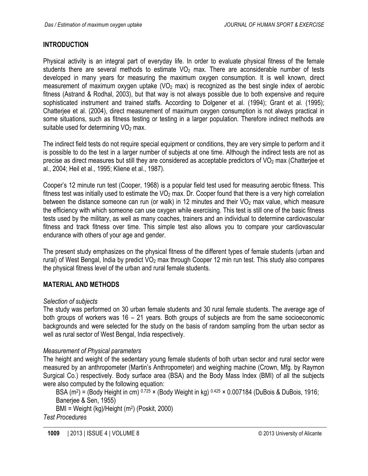## **INTRODUCTION**

Physical activity is an integral part of everyday life. In order to evaluate physical fitness of the female students there are several methods to estimate  $VO<sub>2</sub>$  max. There are aconsiderable number of tests developed in many years for measuring the maximum oxygen consumption. It is well known, direct measurement of maximum oxygen uptake  $(VO<sub>2</sub>$  max) is recognized as the best single index of aerobic fitness (Astrand & Rodhal, 2003), but that way is not always possible due to both expensive and require sophisticated instrument and trained staffs. According to Dolgener et al. (1994); Grant et al. (1995); Chatterjee et al. (2004), direct measurement of maximum oxygen consumption is not always practical in some situations, such as fitness testing or testing in a larger population. Therefore indirect methods are suitable used for determining VO<sub>2</sub> max.

The indirect field tests do not require special equipment or conditions, they are very simple to perform and it is possible to do the test in a larger number of subjects at one time. Although the indirect tests are not as precise as direct measures but still they are considered as acceptable predictors of VO<sub>2</sub> max (Chatteriee et al., 2004; Heil et al., 1995; Kliene et al., 1987).

Cooper's 12 minute run test (Cooper, 1968) is a popular field test used for measuring aerobic fitness. This fitness test was initially used to estimate the  $VO<sub>2</sub>$  max. Dr. Cooper found that there is a very high correlation between the distance someone can run (or walk) in 12 minutes and their VO<sub>2</sub> max value, which measure the efficiency with which someone can use oxygen while exercising. This test is still one of the basic fitness tests used by the military, as well as many coaches, trainers and an individual to determine cardiovascular fitness and track fitness over time. This simple test also allows you to compare your cardiovascular endurance with others of your age and gender.

The present study emphasizes on the physical fitness of the different types of female students (urban and rural) of West Bengal, India by predict  $VO<sub>2</sub>$  max through Cooper 12 min run test. This study also compares the physical fitness level of the urban and rural female students.

## **MATERIAL AND METHODS**

#### *Selection of subjects*

The study was performed on 30 urban female students and 30 rural female students. The average age of both groups of workers was 16 – 21 years. Both groups of subjects are from the same socioeconomic backgrounds and were selected for the study on the basis of random sampling from the urban sector as well as rural sector of West Bengal, India respectively.

#### *Measurement of Physical parameters*

The height and weight of the sedentary young female students of both urban sector and rural sector were measured by an anthropometer (Martin's Anthropometer) and weighing machine (Crown, Mfg. by Raymon Surgical Co.) respectively. Body surface area (BSA) and the Body Mass Index (BMI) of all the subjects were also computed by the following equation:

BSA (m<sup>2</sup>) = (Body Height in cm)  $0.725 \times$  (Body Weight in kg)  $0.425 \times 0.007184$  (DuBois & DuBois, 1916; Banerjee & Sen, 1955)

BMI = Weight (kg)/Height (m2) (Poskit, 2000)

*Test Procedures*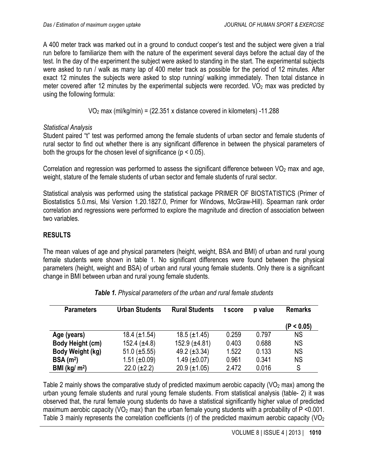A 400 meter track was marked out in a ground to conduct cooper's test and the subject were given a trial run before to familiarize them with the nature of the experiment several days before the actual day of the test. In the day of the experiment the subject were asked to standing in the start. The experimental subjects were asked to run / walk as many lap of 400 meter track as possible for the period of 12 minutes. After exact 12 minutes the subjects were asked to stop running/ walking immediately. Then total distance in meter covered after 12 minutes by the experimental subjects were recorded.  $VO<sub>2</sub>$  max was predicted by using the following formula:

 $VO<sub>2</sub>$  max (ml/kg/min) = (22.351 x distance covered in kilometers) -11.288

#### *Statistical Analysis*

Student paired "t" test was performed among the female students of urban sector and female students of rural sector to find out whether there is any significant difference in between the physical parameters of both the groups for the chosen level of significance ( $p < 0.05$ ).

Correlation and regression was performed to assess the significant difference between  $VO<sub>2</sub>$  max and age, weight, stature of the female students of urban sector and female students of rural sector.

Statistical analysis was performed using the statistical package PRIMER OF BIOSTATISTICS (Primer of Biostatistics 5.0.msi, Msi Version 1.20.1827.0, Primer for Windows, McGraw-Hill). Spearman rank order correlation and regressions were performed to explore the magnitude and direction of association between two variables.

## **RESULTS**

The mean values of age and physical parameters (height, weight, BSA and BMI) of urban and rural young female students were shown in table 1. No significant differences were found between the physical parameters (height, weight and BSA) of urban and rural young female students. Only there is a significant change in BMI between urban and rural young female students.

| <b>Parameters</b>       | <b>Urban Students</b> | <b>Rural Students</b> | t score | p value | <b>Remarks</b> |
|-------------------------|-----------------------|-----------------------|---------|---------|----------------|
|                         |                       |                       |         |         | (P < 0.05)     |
| Age (years)             | $18.4 (\pm 1.54)$     | $18.5 (\pm 1.45)$     | 0.259   | 0.797   | ΝS             |
| <b>Body Height (cm)</b> | $152.4 (\pm 4.8)$     | $152.9 (\pm 4.81)$    | 0.403   | 0.688   | ΝS             |
| Body Weight (kg)        | $51.0 \ (\pm 5.55)$   | 49.2 $(\pm 3.34)$     | 1.522   | 0.133   | <b>NS</b>      |
| BSA(m <sup>2</sup> )    | $1.51 (\pm 0.09)$     | $1.49 \ (\pm 0.07)$   | 0.961   | 0.341   | <b>NS</b>      |
| BMI ( $\text{kg/m}^2$ ) | $22.0 (\pm 2.2)$      | $20.9 \ (\pm 1.05)$   | 2.472   | 0.016   | S              |

|  |  | Table 1. Physical parameters of the urban and rural female students |  |  |  |  |  |  |
|--|--|---------------------------------------------------------------------|--|--|--|--|--|--|
|--|--|---------------------------------------------------------------------|--|--|--|--|--|--|

Table 2 mainly shows the comparative study of predicted maximum aerobic capacity ( $VO<sub>2</sub>$  max) among the urban young female students and rural young female students. From statistical analysis (table- 2) it was observed that, the rural female young students do have a statistical significantly higher value of predicted maximum aerobic capacity (VO<sub>2</sub> max) than the urban female young students with a probability of  $P < 0.001$ . Table 3 mainly represents the correlation coefficients (r) of the predicted maximum aerobic capacity ( $VO<sub>2</sub>$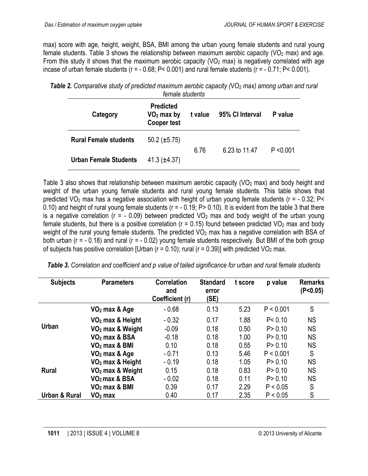max) score with age, height, weight, BSA, BMI among the urban young female students and rural young female students. Table 3 shows the relationship between maximum aerobic capacity ( $VO<sub>2</sub>$  max) and age. From this study it shows that the maximum aerobic capacity ( $VO<sub>2</sub>$  max) is negatively correlated with age incase of urban female students (r = - 0.68; P< 0.001) and rural female students (r = - 0.71; P< 0.001).

| female students              |                                                        |         |                 |           |  |  |  |
|------------------------------|--------------------------------------------------------|---------|-----------------|-----------|--|--|--|
| Category                     | <b>Predicted</b><br>$VO2$ max by<br><b>Cooper test</b> | t value | 95% CI Interval | P value   |  |  |  |
| <b>Rural Female students</b> | $50.2 \ (\pm 5.75)$                                    |         |                 |           |  |  |  |
| <b>Urban Female Students</b> | 41.3 $(\pm 4.37)$                                      | 6.76    | 6.23 to 11.47   | P < 0.001 |  |  |  |

**Table 2.** Comparative study of predicted maximum aerobic capacity (VO<sub>2</sub> max) among urban and rural

Table 3 also shows that relationship between maximum aerobic capacity ( $VO<sub>2</sub>$  max) and body height and weight of the urban young female students and rural young female students. This table shows that predicted  $VO<sub>2</sub>$  max has a negative association with height of urban young female students ( $r = -0.32$ ; P< 0.10) and height of rural young female students (r = - 0.19; P> 0.10). It is evident from the table 3 that there is a negative correlation ( $r = -0.09$ ) between predicted VO<sub>2</sub> max and body weight of the urban young female students, but there is a positive correlation ( $r = 0.15$ ) found between predicted VO<sub>2</sub> max and body weight of the rural young female students. The predicted VO<sub>2</sub> max has a negative correlation with BSA of both urban (r = - 0.18) and rural (r = - 0.02) young female students respectively. But BMI of the both group of subjects has positive correlation [Urban ( $r = 0.10$ ); rural ( $r = 0.39$ )] with predicted VO<sub>2</sub> max.

| Table 3. Correlation and coefficient and p value of tailed significance for urban and rural female students |  |  |
|-------------------------------------------------------------------------------------------------------------|--|--|
|                                                                                                             |  |  |

| <b>Subjects</b> | <b>Parameters</b>            | <b>Correlation</b><br>and<br>Coefficient (r) | <b>Standard</b><br>error<br>(SE) | t score | p value   | <b>Remarks</b><br>(P<0.05) |
|-----------------|------------------------------|----------------------------------------------|----------------------------------|---------|-----------|----------------------------|
| <b>Urban</b>    | $VO2$ max & Age              | $-0.68$                                      | 0.13                             | 5.23    | P < 0.001 | S                          |
|                 | VO <sub>2</sub> max & Height | $-0.32$                                      | 0.17                             | 1.88    | P < 0.10  | <b>NS</b>                  |
|                 | VO <sub>2</sub> max & Weight | $-0.09$                                      | 0.18                             | 0.50    | P > 0.10  | <b>NS</b>                  |
|                 | $VO2$ max & BSA              | $-0.18$                                      | 0.18                             | 1.00    | P > 0.10  | <b>NS</b>                  |
|                 | $VO2$ max & BMI              | 0.10                                         | 0.18                             | 0.55    | P > 0.10  | <b>NS</b>                  |
|                 | $VO2$ max & Age              | $-0.71$                                      | 0.13                             | 5.46    | P < 0.001 | S                          |
| <b>Rural</b>    | VO <sub>2</sub> max & Height | $-0.19$                                      | 0.18                             | 1.05    | P > 0.10  | <b>NS</b>                  |
|                 | VO <sub>2</sub> max & Weight | 0.15                                         | 0.18                             | 0.83    | P > 0.10  | <b>NS</b>                  |
|                 | $VO2$ max & BSA              | $-0.02$                                      | 0.18                             | 0.11    | P > 0.10  | <b>NS</b>                  |
|                 | $VO2$ max & BMI              | 0.39                                         | 0.17                             | 2.29    | P < 0.05  | S                          |
| Urban & Rural   | $VO2$ max                    | 0.40                                         | 0.17                             | 2.35    | P < 0.05  | S                          |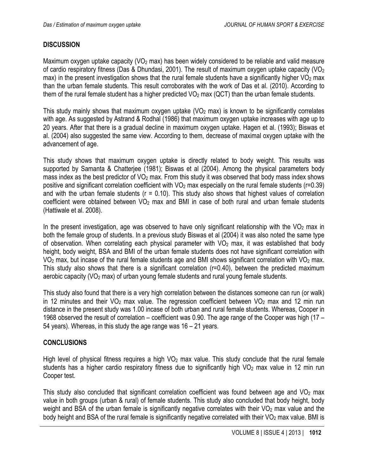#### **DISCUSSION**

Maximum oxygen uptake capacity ( $VO<sub>2</sub>$  max) has been widely considered to be reliable and valid measure of cardio respiratory fitness (Das & Dhundasi, 2001). The result of maximum oxygen uptake capacity (VO<sub>2</sub>) max) in the present investigation shows that the rural female students have a significantly higher  $VO<sub>2</sub>$  max than the urban female students. This result corroborates with the work of Das et al. (2010). According to them of the rural female student has a higher predicted  $VO<sub>2</sub>$  max (QCT) than the urban female students.

This study mainly shows that maximum oxygen uptake  $(VO<sub>2</sub>$  max) is known to be significantly correlates with age. As suggested by Astrand & Rodhal (1986) that maximum oxygen uptake increases with age up to 20 years. After that there is a gradual decline in maximum oxygen uptake. Hagen et al. (1993); Biswas et al. (2004) also suggested the same view. According to them, decrease of maximal oxygen uptake with the advancement of age.

This study shows that maximum oxygen uptake is directly related to body weight. This results was supported by Samanta & Chatterjee (1981); Biswas et al (2004). Among the physical parameters body mass index as the best predictor of  $VO<sub>2</sub>$  max. From this study it was observed that body mass index shows positive and significant correlation coefficient with  $VO<sub>2</sub>$  max especially on the rural female students (r=0.39) and with the urban female students ( $r = 0.10$ ). This study also shows that highest values of correlation coefficient were obtained between  $VO<sub>2</sub>$  max and BMI in case of both rural and urban female students (Hattiwale et al. 2008).

In the present investigation, age was observed to have only significant relationship with the  $VO<sub>2</sub>$  max in both the female group of students. In a previous study Biswas et al (2004) it was also noted the same type of observation. When correlating each physical parameter with  $VO<sub>2</sub>$  max, it was established that body height, body weight, BSA and BMI of the urban female students does not have significant correlation with  $VO<sub>2</sub>$  max, but incase of the rural female students age and BMI shows significant correlation with  $VO<sub>2</sub>$  max. This study also shows that there is a significant correlation (r=0.40), between the predicted maximum aerobic capacity (VO<sub>2</sub> max) of urban young female students and rural young female students.

This study also found that there is a very high correlation between the distances someone can run (or walk) in 12 minutes and their  $\sqrt{O_2}$  max value. The regression coefficient between  $\sqrt{O_2}$  max and 12 min run distance in the present study was 1.00 incase of both urban and rural female students. Whereas, Cooper in 1968 observed the result of correlation – coefficient was 0.90. The age range of the Cooper was high (17 – 54 years). Whereas, in this study the age range was 16 – 21 years.

#### **CONCLUSIONS**

High level of physical fitness requires a high  $VO<sub>2</sub>$  max value. This study conclude that the rural female students has a higher cardio respiratory fitness due to significantly high  $VO<sub>2</sub>$  max value in 12 min run Cooper test.

This study also concluded that significant correlation coefficient was found between age and  $VO<sub>2</sub>$  max value in both groups (urban & rural) of female students. This study also concluded that body height, body weight and BSA of the urban female is significantly negative correlates with their  $VO<sub>2</sub>$  max value and the body height and BSA of the rural female is significantly negative correlated with their  $VO<sub>2</sub>$  max value. BMI is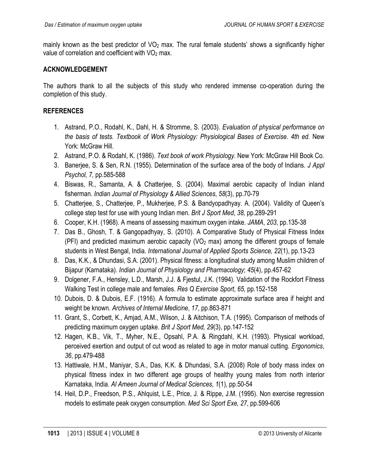mainly known as the best predictor of  $VO<sub>2</sub>$  max. The rural female students' shows a significantly higher value of correlation and coefficient with  $VO<sub>2</sub>$  max.

#### **ACKNOWLEDGEMENT**

The authors thank to all the subjects of this study who rendered immense co-operation during the completion of this study.

### **REFERENCES**

- 1. Astrand, P.O., Rodahl, K., Dahl, H. & Stromme, S. (2003). *Evaluation of physical performance on the basis of tests. Textbook of Work Physiology: Physiological Bases of Exercise. 4th ed.* New York: McGraw Hill.
- 2. Astrand, P.O. & Rodahl, K. (1986). *Text book of work Physiology*. New York: McGraw Hill Book Co.
- 3. Banerjee, S. & Sen, R.N. (1955). Determination of the surface area of the body of Indians. *J Appl Psychol, 7,* pp.585-588
- 4. Biswas, R., Samanta, A. & Chatterjee, S. (2004). Maximal aerobic capacity of Indian inland fisherman. *Indian Journal of Physiology & Allied Sciences*, *58*(3), pp.70-79
- 5. Chatterjee, S., Chatterjee, P., Mukherjee, P.S. & Bandyopadhyay. A. (2004). Validity of Queen's college step test for use with young Indian men. *Brit J Sport Med*, *38,* pp.289-291
- 6. Cooper, K.H. (1968). A means of assessing maximum oxygen intake. *JAMA*, *203*, pp.135-38
- 7. Das B., Ghosh, T. & Gangopadhyay, S. (2010). A Comparative Study of Physical Fitness Index (PFI) and predicted maximum aerobic capacity ( $VO<sub>2</sub>$  max) among the different groups of female students in West Bengal, India. *International Journal of Applied Sports Science, 22*(1), pp.13-23
- 8. Das, K.K., & Dhundasi, S.A. (2001). Physical fitness: a longitudinal study among Muslim children of Bijapur (Karnataka). *Indian Journal of Physiology and Pharmacology*; *45*(4), pp.457-62
- 9. Dolgener, F.A., Hensley, L.D., Marsh, J.J. & Fjestul, J.K. (1994). Validation of the Rockfort Fitness Walking Test in college male and females. *Res Q Exercise Sport*, *65,* pp*.*152-158
- 10. Dubois, D. & Dubois, E.F. (1916). A formula to estimate approximate surface area if height and weight be known. *Archives of Internal Medicine*, *17*, pp.863-871
- 11. Grant, S., Corbett, K., Amjad, A.M., Wilson, J. & Aitchison, T.A. (1995). Comparison of methods of predicting maximum oxygen uptake. *Brit J Sport Med, 29*(3), pp.147-152
- 12. Hagen, K.B., Vik, T., Myher, N.E., Opsahl, P.A. & Ringdahl, K.H. (1993). Physical workload, perceived exertion and output of cut wood as related to age in motor manual cutting. *Ergonomics*, *36*, pp.479-488
- 13. Hattiwale, H.M., Maniyar, S.A., Das, K.K. & Dhundasi, S.A. (2008) Role of body mass index on physical fitness index in two different age groups of healthy young males from north interior Karnataka, India. *Al Ameen Journal of Medical Sciences*, *1*(1), pp.50-54
- 14. Heil, D.P., Freedson, P.S., Ahlquist, L.E., Price, J. & Rippe, J.M. (1995). Non exercise regression models to estimate peak oxygen consumption. *Med Sci Sport Exe, 27*, pp.599-606